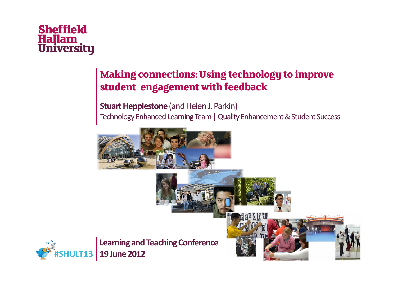#### **Making connections: Using technology to improve student engagement with feedback**

Stuart Hepplestone (and Helen J. Parkin) Technology Enhanced Learning Team | Quality Enhancement & Student Success

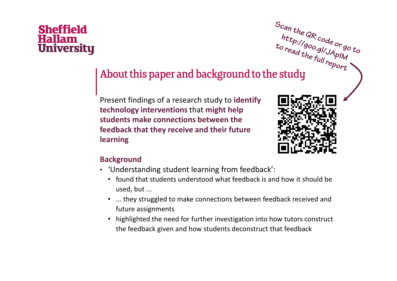# <sup>http://goo.gl/JAplM<br>to read the full report<br>About this paper and background to the study</sup>

Present findings of a research study to identifytechnology interventions that might help students make connections between the feedback that they receive and their futurelearning



#### Background

- 'Understanding student learning from feedback':
	- found that students understood what feedback is and how it should be used, but ...
	- ... they struggled to make connections between feedback received and future assignments
	- highlighted the need for further investigation into how tutors construct the feedback given and how students deconstruct that feedback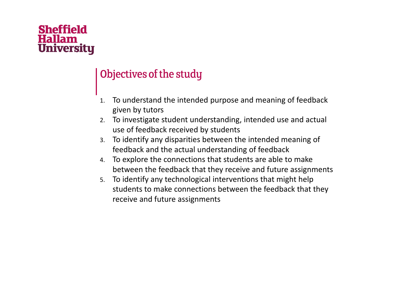#### Objectives of the study

- 1. To understand the intended purpose and meaning of feedback given by tutors
- 2. To investigate student understanding, intended use and actual use of feedback received by students
- To identify any disparities between the intended meaning of 3.feedback and the actual understanding of feedback
- To explore the connections that students are able to make 4.between the feedback that they receive and future assignments
- 5. To identify any technological interventions that might help students to make connections between the feedback that they receive and future assignments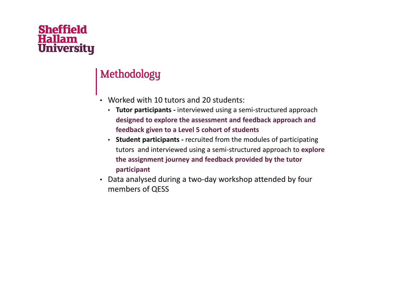#### Methodology

- Worked with 10 tutors and 20 students:
	- Tutor participants interviewed using a semi-structured approach designed to explore the assessment and feedback approach and feedback given to a Level 5 cohort of students
	- Student participants recruited from the modules of participating tutors and interviewed using a semi-structured approach to explore the assignment journey and feedback provided by the tutor participant
- Data analysed during a two-day workshop attended by four members of QESS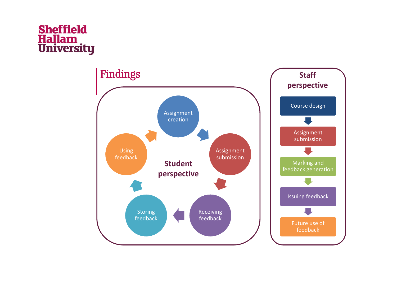

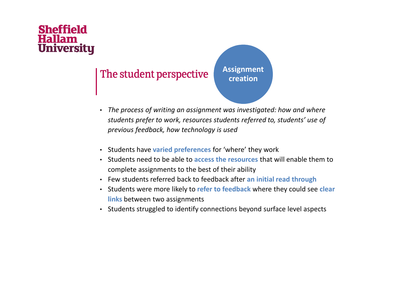# **Sheffield**

#### The student perspective

• The process of writing an assignment was investigated: how and where students prefer to work, resources students referred to, students' use of previous feedback, how technology is used

Assignment creation

- Students have varied preferences for 'where' they work
- Students need to be able to access the resources that will enable them to complete assignments to the best of their ability
- Few students referred back to feedback after an initial read through
- Students were more likely to refer to feedback where they could see clear l<mark>inks</mark> between two assignments
- Students struggled to identify connections beyond surface level aspects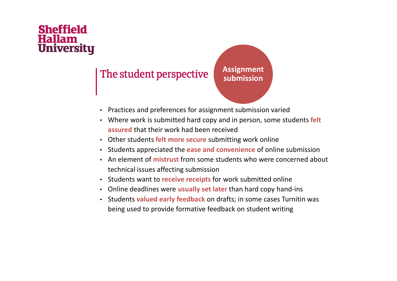#### The student perspective

Assignment submission

- Practices and preferences for assignment submission varied
- Where work is submitted hard copy and in person, some students felt <mark>assured</mark> that their work had been received
- Other students f<mark>elt more secure</mark> submitting work online
- Students appreciated the ease and convenience of online submission
- An element of **mistrust** from some students who were concerned about technical issues affecting submission
- Students want to receive receipts for work submitted online
- Online deadlines were usually set later than hard copy hand-ins
- Students valued early feedback on drafts; in some cases Turnitin was being used to provide formative feedback on student writing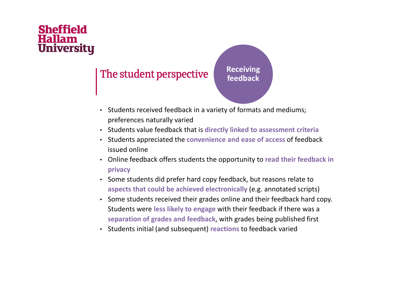#### The student perspective

Receiving feedback

- Students received feedback in a variety of formats and mediums; preferences naturally varied
- Students value feedback that is directly linked to assessment criteria
- Students appreciated the convenience and ease of access of feedback issued online
- Online feedback offers students the opportunity to read their feedback in privacy
- Some students did prefer hard copy feedback, but reasons relate to aspects that could be achieved electronically (e.g. annotated scripts)
- Some students received their grades online and their feedback hard copy. Students were less likely to engage with their feedback if there was a separation of grades and feedback, with grades being published first
- Students initial (and subsequent) reactions to feedback varied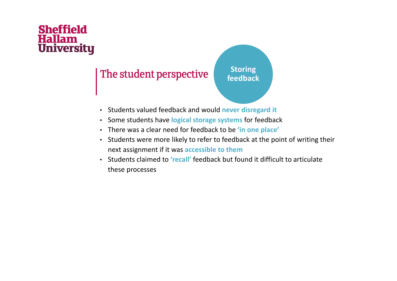#### The student perspective

**Storing** feedback

- Students valued feedback and would never disregard it
- Some students have logical storage systems for feedback
- There was a clear need for feedback to be 'in one place'
- Students were more likely to refer to feedback at the point of writing their next assignment if it was accessible to them
- Students claimed to 'recall' feedback but found it difficult to articulate these processes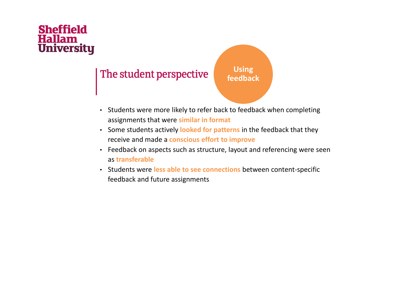#### The student perspective



- Students were more likely to refer back to feedback when completing assignments that were similar in format
- Some students actively looked for patterns in the feedback that they receive and made a **conscious effort to improve**
- Feedback on aspects such as structure, layout and referencing were seen as transferable
- Students were less able to see connections between content-specific feedback and future assignments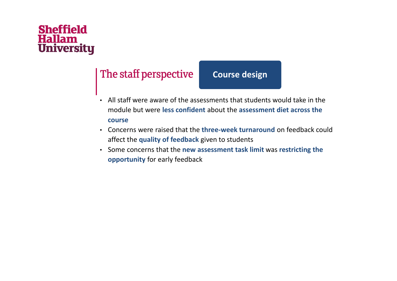#### The staff perspective

#### Course design

- All staff were aware of the assessments that students would take in the module but were less confident about the assessment diet across the course
- Concerns were raised that the three-week turnaround on feedback could affect the quality of feedback given to students
- Some concerns that the new assessment task limit was restricting the opportunity for early feedback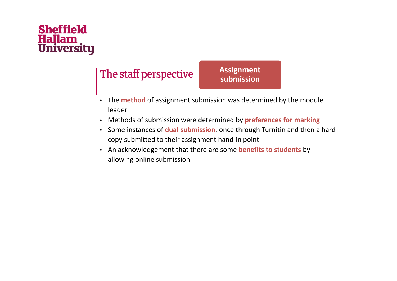#### The staff perspective

Assignment submission

- The method of assignment submission was determined by the module leader
- Methods of submission were determined by **preferences for marking**
- Some instances of **dual submission**, once through Turnitin and then a hard copy submitted to their assignment hand-in point
- An acknowledgement that there are some benefits to students by allowing online submission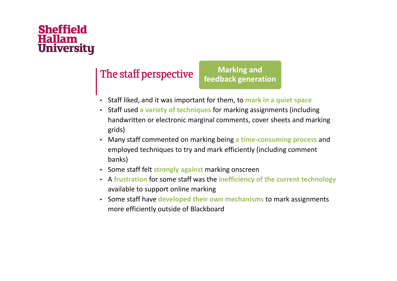#### The staff perspective

Marking and feedback generation

- Staff liked, and it was important for them, to mark in a quiet space
- Staff used a variety of techniques for marking assignments (including handwritten or electronic marginal comments, cover sheets and marking grids)
- Many staff commented on marking being a time-consuming process and employed techniques to try and mark efficiently (including comment banks)
- Some staff felt strongly against marking onscreen
- A frustration for some staff was the inefficiency of the current technology available to support online marking
- Some staff have developed their own mechanisms to mark assignments more efficiently outside of Blackboard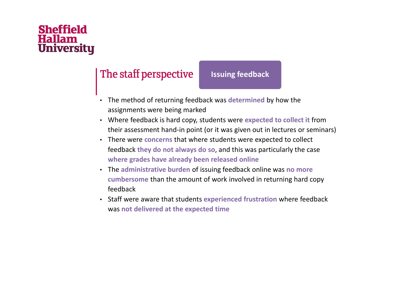#### The staff perspective

#### Issuing feedback

- The method of returning feedback was determined by how the assignments were being marked
- Where feedback is hard copy, students were expected to collect it from their assessment hand-in point (or it was given out in lectures or seminars)
- There were concerns that where students were expected to collect feedback they do not always do so, and this was particularly the case where grades have already been released online
- The administrative burden of issuing feedback online was no more cumbersome than the amount of work involved in returning hard copy feedback
- Staff were aware that students experienced frustration where feedback was not delivered at the expected time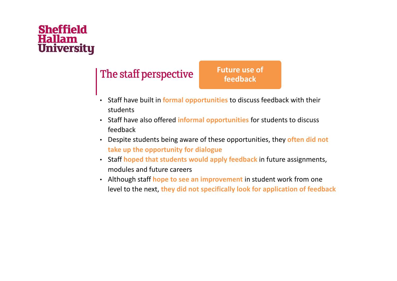#### The staff perspective

Future use of feedback

- Staff have built in formal opportunities to discuss feedback with their students
- Staff have also offered informal opportunities for students to discuss feedback
- Despite students being aware of these opportunities, they often did not take up the opportunity for dialogue
- Staff hoped that students would apply feedback in future assignments, modules and future careers
- Although staff hope to see an improvement in student work from one level to the next, they did not specifically look for application of feedback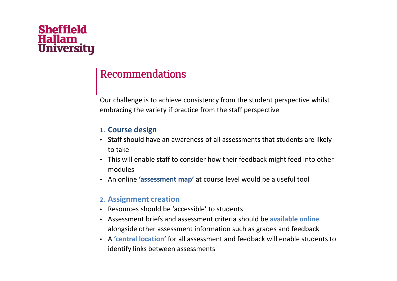# **Sheffield**

#### Recommendations

Our challenge is to achieve consistency from the student perspective whilst embracing the variety if practice from the staff perspective

#### 1. Course design

- Staff should have an awareness of all assessments that students are likely to take
- This will enable staff to consider how their feedback might feed into other modules
- An online 'assessment map' at course level would be a useful tool

#### 2. Assignment creation

- Resources should be 'accessible' to students
- Assessment briefs and assessment criteria should be available online alongside other assessment information such as grades and feedback
- A 'central location' for all assessment and feedback will enable students to identify links between assessments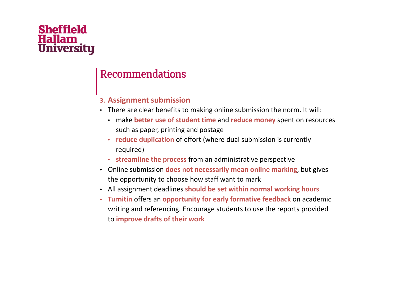#### Recommendations

#### 3. Assignment submission

- There are clear benefits to making online submission the norm. It will:
	- make better use of student time and reduce money spent on resources such as paper, printing and postage
	- reduce duplication of effort (where dual submission is currently required)
	- streamline the process from an administrative perspective
- Online submission does not necessarily mean online marking, but gives the opportunity to choose how staff want to mark
- All assignment deadlines should be set within normal working hours
- Turnitin offers an opportunity for early formative feedback on academic writing and referencing. Encourage students to use the reports provided to improve drafts of their work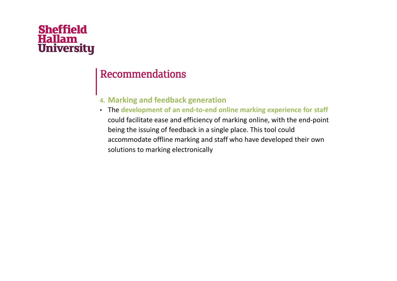#### Recommendations

#### 4. Marking and feedback generation

 • The development of an end-to-end online marking experience for staff could facilitate ease and efficiency of marking online, with the end-point being the issuing of feedback in a single place. This tool could accommodate offline marking and staff who have developed their own solutions to marking electronically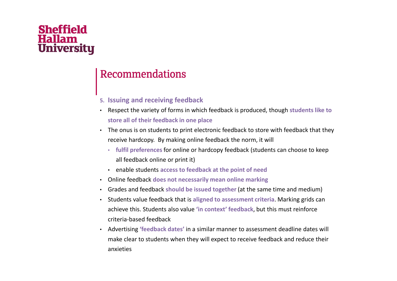#### Recommendations

- 5. Issuing and receiving feedback
- Respect the variety of forms in which feedback is produced, though students like to store all of their feedback in one place
- The onus is on students to print electronic feedback to store with feedback that they receive hardcopy. By making online feedback the norm, it will
	- fulfil preferences for online or hardcopy feedback (students can choose to keep all feedback online or print it)
	- enable students access to feedback at the point of need
- Online feedback does not necessarily mean online marking
- Grades and feedback should be issued together (at the same time and medium)
- Students value feedback that is aligned to assessment criteria. Marking grids can achieve this. Students also value '<mark>in context' feedback</mark>, but this must reinforce criteria-based feedback
- Advertising 'feedback dates' in a similar manner to assessment deadline dates will make clear to students when they will expect to receive feedback and reduce their anxieties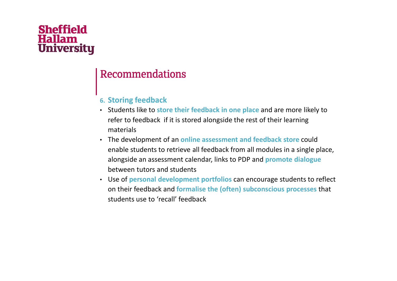#### Recommendations

#### 6. Storing feedback

- Students like to store their feedback in one place and are more likely to refer to feedback if it is stored alongside the rest of their learning materials
- The development of an online assessment and feedback store could enable students to retrieve all feedback from all modules in a single place, alongside an assessment calendar, links to PDP and promote dialoguebetween tutors and students
- Use of personal development portfolios can encourage students to reflect on their feedback and formalise the (often) subconscious processes that students use to 'recall' feedback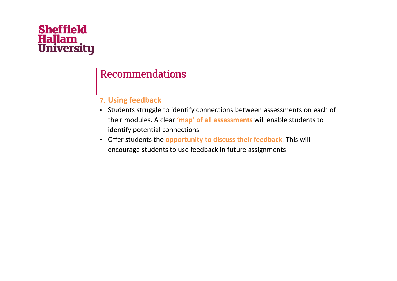#### Recommendations

#### 7. Using feedback

- Students struggle to identify connections between assessments on each of their modules. A clear 'map' of all assessments will enable students to identify potential connections
- Offer students the opportunity to discuss their feedback. This will encourage students to use feedback in future assignments